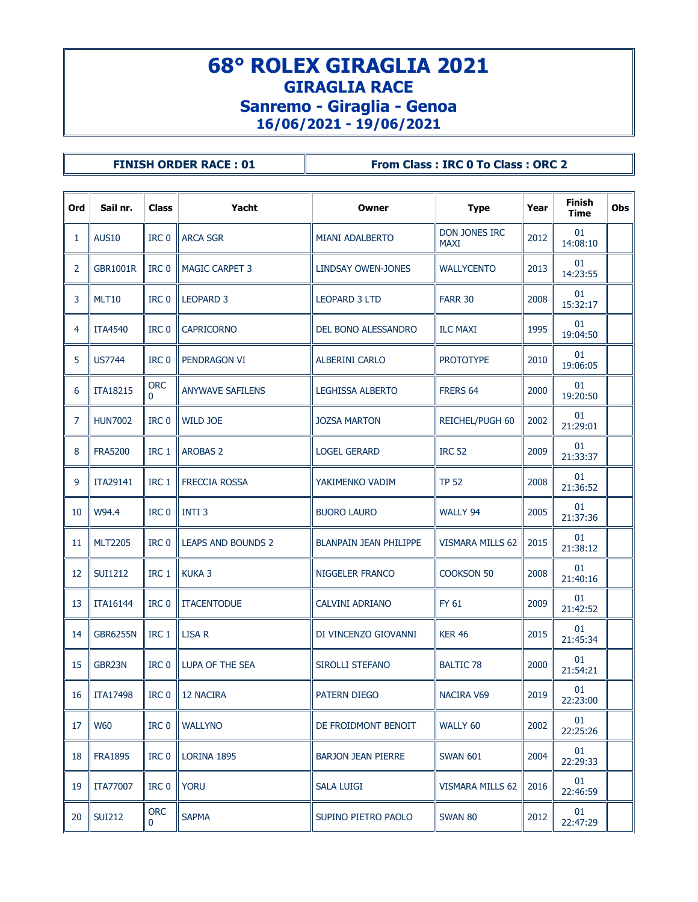## 68° ROLEX GIRAGLIA 2021 GIRAGLIA RACE Sanremo - Giraglia - Genoa 16/06/2021 - 19/06/2021

FINISH ORDER RACE : 01 From Class : IRC 0 To Class : ORC 2

| Ord          | Sail nr.        | Class                      | Yacht                     | Owner                         | <b>Type</b>                         | Year | <b>Finish</b><br><b>Time</b> | <b>Obs</b> |
|--------------|-----------------|----------------------------|---------------------------|-------------------------------|-------------------------------------|------|------------------------------|------------|
| $\mathbf{1}$ | <b>AUS10</b>    | IRC <sub>0</sub>           | <b>ARCA SGR</b>           | <b>MIANI ADALBERTO</b>        | <b>DON JONES IRC</b><br><b>MAXI</b> | 2012 | 01<br>14:08:10               |            |
| 2            | <b>GBR1001R</b> | IRC 0                      | <b>MAGIC CARPET 3</b>     | LINDSAY OWEN-JONES            | <b>WALLYCENTO</b>                   | 2013 | 01<br>14:23:55               |            |
| 3            | <b>MLT10</b>    | IRC <sub>0</sub>           | <b>LEOPARD 3</b>          | <b>LEOPARD 3 LTD</b>          | FARR 30                             | 2008 | 01<br>15:32:17               |            |
| 4            | <b>ITA4540</b>  | IRC <sub>0</sub>           | <b>CAPRICORNO</b>         | DEL BONO ALESSANDRO           | <b>ILC MAXI</b>                     | 1995 | 01<br>19:04:50               |            |
| 5            | <b>US7744</b>   | IRC <sub>0</sub>           | PENDRAGON VI              | <b>ALBERINI CARLO</b>         | <b>PROTOTYPE</b>                    | 2010 | 01<br>19:06:05               |            |
| 6            | <b>ITA18215</b> | ORC<br>0                   | <b>ANYWAVE SAFILENS</b>   | <b>LEGHISSA ALBERTO</b>       | FRERS 64                            | 2000 | 01<br>19:20:50               |            |
| 7            | <b>HUN7002</b>  | IRC <sub>0</sub>           | <b>WILD JOE</b>           | <b>JOZSA MARTON</b>           | <b>REICHEL/PUGH 60</b>              | 2002 | 01<br>21:29:01               |            |
| 8            | <b>FRA5200</b>  | IRC <sub>1</sub>           | <b>AROBAS 2</b>           | <b>LOGEL GERARD</b>           | <b>IRC 52</b>                       | 2009 | 01<br>21:33:37               |            |
| 9            | <b>ITA29141</b> | IRC <sub>1</sub>           | <b>FRECCIA ROSSA</b>      | YAKIMENKO VADIM               | <b>TP 52</b>                        | 2008 | 01<br>21:36:52               |            |
| 10           | W94.4           | IRC <sub>0</sub>           | <b>INTI3</b>              | <b>BUORO LAURO</b>            | WALLY 94                            | 2005 | 01<br>21:37:36               |            |
| 11           | <b>MLT2205</b>  | IRC <sub>0</sub>           | <b>LEAPS AND BOUNDS 2</b> | <b>BLANPAIN JEAN PHILIPPE</b> | VISMARA MILLS 62                    | 2015 | 01<br>21:38:12               |            |
| 12           | <b>SUI1212</b>  | IRC <sub>1</sub>           | <b>KUKA 3</b>             | NIGGELER FRANCO               | <b>COOKSON 50</b>                   | 2008 | 01<br>21:40:16               |            |
| 13           | <b>ITA16144</b> | IRC <sub>0</sub>           | <b>ITACENTODUE</b>        | CALVINI ADRIANO               | FY 61                               | 2009 | 01<br>21:42:52               |            |
| 14           | <b>GBR6255N</b> | IRC <sub>1</sub>           | <b>LISA R</b>             | DI VINCENZO GIOVANNI          | <b>KER 46</b>                       | 2015 | 01<br>21:45:34               |            |
| 15           | GBR23N          | IRC <sub>0</sub>           | LUPA OF THE SEA           | <b>SIROLLI STEFANO</b>        | <b>BALTIC 78</b>                    | 2000 | 01<br>21:54:21               |            |
| 16           | <b>ITA17498</b> | IRC 0                      | 12 NACIRA                 | <b>PATERN DIEGO</b>           | <b>NACIRA V69</b>                   | 2019 | 01<br>22:23:00               |            |
| 17           | <b>W60</b>      | IRC <sub>0</sub>           | <b>WALLYNO</b>            | DE FROIDMONT BENOIT           | WALLY 60                            | 2002 | 01<br>22:25:26               |            |
| 18           | <b>FRA1895</b>  | IRC <sub>0</sub>           | LORINA 1895               | <b>BARJON JEAN PIERRE</b>     | <b>SWAN 601</b>                     | 2004 | 01<br>22:29:33               |            |
| 19           | <b>ITA77007</b> | IRC <sub>0</sub>           | <b>YORU</b>               | SALA LUIGI                    | <b>VISMARA MILLS 62</b>             | 2016 | 01<br>22:46:59               |            |
| 20           | <b>SUI212</b>   | <b>ORC</b><br>$\mathbf{0}$ | <b>SAPMA</b>              | SUPINO PIETRO PAOLO           | <b>SWAN 80</b>                      | 2012 | 01<br>22:47:29               |            |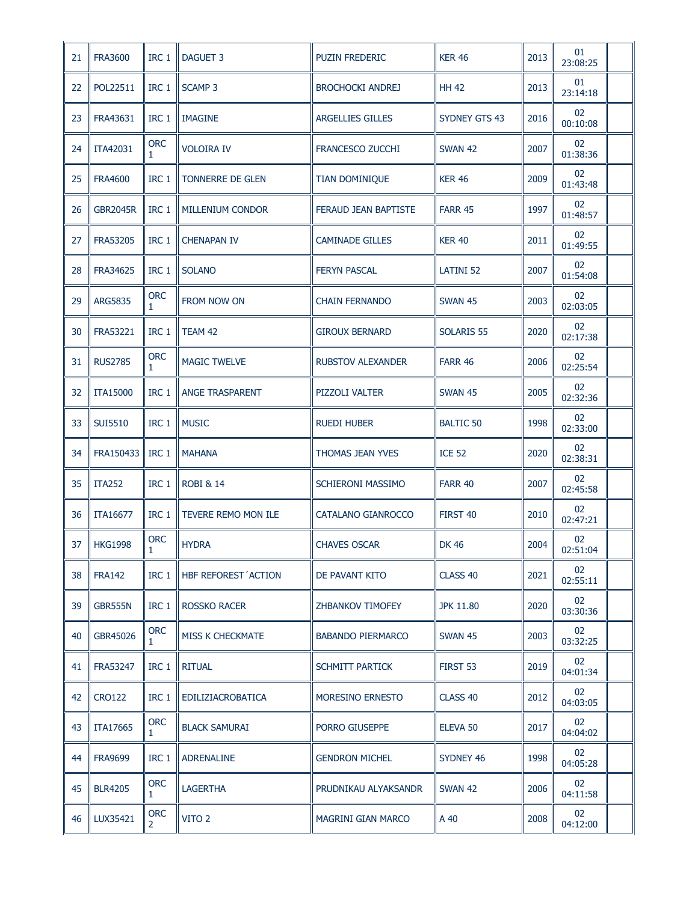| 21 | <b>FRA3600</b>  | IRC <sub>1</sub>             | <b>DAGUET 3</b>         | <b>PUZIN FREDERIC</b>       | <b>KER 46</b>         | 2013 | 01<br>23:08:25 |  |
|----|-----------------|------------------------------|-------------------------|-----------------------------|-----------------------|------|----------------|--|
| 22 | POL22511        | IRC 1                        | <b>SCAMP 3</b>          | <b>BROCHOCKI ANDREJ</b>     | <b>HH 42</b>          | 2013 | 01<br>23:14:18 |  |
| 23 | FRA43631        | IRC 1                        | <b>IMAGINE</b>          | <b>ARGELLIES GILLES</b>     | <b>SYDNEY GTS 43</b>  | 2016 | 02<br>00:10:08 |  |
| 24 | ITA42031        | <b>ORC</b><br>1              | <b>VOLOIRA IV</b>       | <b>FRANCESCO ZUCCHI</b>     | SWAN 42               | 2007 | 02<br>01:38:36 |  |
| 25 | <b>FRA4600</b>  | IRC <sub>1</sub>             | <b>TONNERRE DE GLEN</b> | TIAN DOMINIQUE              | <b>KER 46</b>         | 2009 | 02<br>01:43:48 |  |
| 26 | <b>GBR2045R</b> | IRC <sub>1</sub>             | MILLENIUM CONDOR        | <b>FERAUD JEAN BAPTISTE</b> | FARR 45               | 1997 | 02<br>01:48:57 |  |
| 27 | <b>FRA53205</b> | IRC <sub>1</sub>             | <b>CHENAPAN IV</b>      | <b>CAMINADE GILLES</b>      | <b>KER 40</b>         | 2011 | 02<br>01:49:55 |  |
| 28 | FRA34625        | IRC 1                        | <b>SOLANO</b>           | <b>FERYN PASCAL</b>         | <b>LATINI 52</b>      | 2007 | 02<br>01:54:08 |  |
| 29 | <b>ARG5835</b>  | <b>ORC</b><br>1              | <b>FROM NOW ON</b>      | <b>CHAIN FERNANDO</b>       | <b>SWAN 45</b>        | 2003 | 02<br>02:03:05 |  |
| 30 | <b>FRA53221</b> | IRC <sub>1</sub>             | TEAM 42                 | <b>GIROUX BERNARD</b>       | SOLARIS <sub>55</sub> | 2020 | 02<br>02:17:38 |  |
| 31 | <b>RUS2785</b>  | ORC<br>1                     | <b>MAGIC TWELVE</b>     | <b>RUBSTOV ALEXANDER</b>    | FARR 46               | 2006 | 02<br>02:25:54 |  |
| 32 | <b>ITA15000</b> | IRC <sub>1</sub>             | <b>ANGE TRASPARENT</b>  | PIZZOLI VALTER              | <b>SWAN 45</b>        | 2005 | 02<br>02:32:36 |  |
| 33 | SUI5510         | IRC <sub>1</sub>             | <b>MUSIC</b>            | <b>RUEDI HUBER</b>          | <b>BALTIC 50</b>      | 1998 | 02<br>02:33:00 |  |
| 34 | FRA150433       | IRC 1                        | <b>MAHANA</b>           | <b>THOMAS JEAN YVES</b>     | <b>ICE 52</b>         | 2020 | 02<br>02:38:31 |  |
| 35 | <b>ITA252</b>   | IRC 1                        | <b>ROBI &amp; 14</b>    | <b>SCHIERONI MASSIMO</b>    | FARR 40               | 2007 | 02<br>02:45:58 |  |
| 36 | <b>ITA16677</b> | IRC <sub>1</sub>             | TEVERE REMO MON ILE     | CATALANO GIANROCCO          | FIRST 40              | 2010 | 02<br>02:47:21 |  |
| 37 | <b>HKG1998</b>  | <b>ORC</b>                   | <b>HYDRA</b>            | <b>CHAVES OSCAR</b>         | <b>DK46</b>           | 2004 | 02<br>02:51:04 |  |
| 38 | <b>FRA142</b>   | IRC <sub>1</sub>             | HBF REFOREST ACTION     | DE PAVANT KITO              | CLASS 40              | 2021 | 02<br>02:55:11 |  |
| 39 | <b>GBR555N</b>  | IRC <sub>1</sub>             | <b>ROSSKO RACER</b>     | ZHBANKOV TIMOFEY            | <b>JPK 11.80</b>      | 2020 | 02<br>03:30:36 |  |
| 40 | GBR45026        | <b>ORC</b><br>1              | <b>MISS K CHECKMATE</b> | <b>BABANDO PIERMARCO</b>    | <b>SWAN 45</b>        | 2003 | 02<br>03:32:25 |  |
| 41 | <b>FRA53247</b> | IRC 1                        | <b>RITUAL</b>           | <b>SCHMITT PARTICK</b>      | FIRST 53              | 2019 | 02<br>04:01:34 |  |
| 42 | <b>CRO122</b>   | IRC 1                        | EDILIZIACROBATICA       | MORESINO ERNESTO            | CLASS 40              | 2012 | 02<br>04:03:05 |  |
| 43 | <b>ITA17665</b> | <b>ORC</b><br>1              | <b>BLACK SAMURAI</b>    | PORRO GIUSEPPE              | ELEVA 50              | 2017 | 02<br>04:04:02 |  |
| 44 | <b>FRA9699</b>  | IRC <sub>1</sub>             | <b>ADRENALINE</b>       | <b>GENDRON MICHEL</b>       | SYDNEY 46             | 1998 | 02<br>04:05:28 |  |
| 45 | <b>BLR4205</b>  | <b>ORC</b><br>1              | <b>LAGERTHA</b>         | PRUDNIKAU ALYAKSANDR        | SWAN 42               | 2006 | 02<br>04:11:58 |  |
| 46 | LUX35421        | <b>ORC</b><br>$\overline{2}$ | VITO <sub>2</sub>       | <b>MAGRINI GIAN MARCO</b>   | A 40                  | 2008 | 02<br>04:12:00 |  |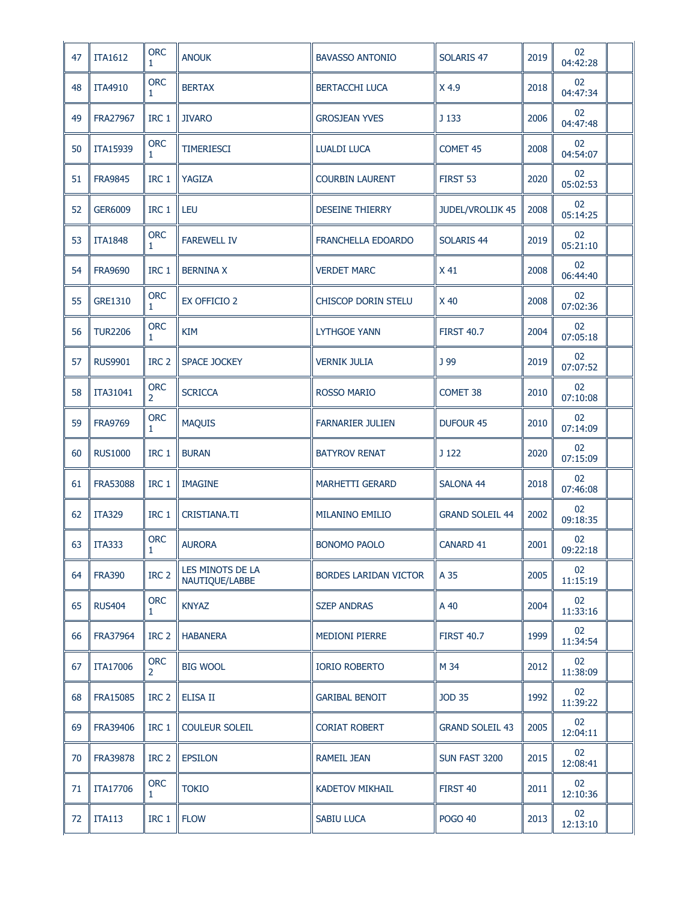| 47 | <b>ITA1612</b>  | <b>ORC</b><br>1.           | <b>ANOUK</b>                       | <b>BAVASSO ANTONIO</b>       | SOLARIS <sub>47</sub>   | 2019 | 02<br>04:42:28 |  |
|----|-----------------|----------------------------|------------------------------------|------------------------------|-------------------------|------|----------------|--|
| 48 | <b>ITA4910</b>  | <b>ORC</b><br>1            | <b>BERTAX</b>                      | <b>BERTACCHI LUCA</b>        | $X$ 4.9                 | 2018 | 02<br>04:47:34 |  |
| 49 | <b>FRA27967</b> | IRC <sub>1</sub>           | <b>JIVARO</b>                      | <b>GROSJEAN YVES</b>         | J 133                   | 2006 | 02<br>04:47:48 |  |
| 50 | <b>ITA15939</b> | <b>ORC</b><br>1            | <b>TIMERIESCI</b>                  | <b>LUALDI LUCA</b>           | <b>COMET 45</b>         | 2008 | 02<br>04:54:07 |  |
| 51 | <b>FRA9845</b>  | IRC 1                      | YAGIZA                             | <b>COURBIN LAURENT</b>       | FIRST 53                | 2020 | 02<br>05:02:53 |  |
| 52 | <b>GER6009</b>  | IRC <sub>1</sub>           | LEU                                | <b>DESEINE THIERRY</b>       | <b>JUDEL/VROLIJK 45</b> | 2008 | 02<br>05:14:25 |  |
| 53 | <b>ITA1848</b>  | <b>ORC</b><br>1            | <b>FAREWELL IV</b>                 | FRANCHELLA EDOARDO           | SOLARIS <sub>44</sub>   | 2019 | 02<br>05:21:10 |  |
| 54 | <b>FRA9690</b>  | IRC 1                      | <b>BERNINA X</b>                   | <b>VERDET MARC</b>           | X 41                    | 2008 | 02<br>06:44:40 |  |
| 55 | GRE1310         | ORC<br>$\mathbf{1}$        | EX OFFICIO 2                       | <b>CHISCOP DORIN STELU</b>   | X 40                    | 2008 | 02<br>07:02:36 |  |
| 56 | <b>TUR2206</b>  | <b>ORC</b><br>$\mathbf{1}$ | <b>KIM</b>                         | <b>LYTHGOE YANN</b>          | <b>FIRST 40.7</b>       | 2004 | 02<br>07:05:18 |  |
| 57 | <b>RUS9901</b>  | IRC <sub>2</sub>           | <b>SPACE JOCKEY</b>                | <b>VERNIK JULIA</b>          | J 99                    | 2019 | 02<br>07:07:52 |  |
| 58 | ITA31041        | <b>ORC</b><br>2            | <b>SCRICCA</b>                     | ROSSO MARIO                  | COMET 38                | 2010 | 02<br>07:10:08 |  |
| 59 | <b>FRA9769</b>  | ORC<br>1                   | <b>MAQUIS</b>                      | <b>FARNARIER JULIEN</b>      | <b>DUFOUR 45</b>        | 2010 | 02<br>07:14:09 |  |
| 60 | <b>RUS1000</b>  | IRC <sub>1</sub>           | <b>BURAN</b>                       | <b>BATYROV RENAT</b>         | J 122                   | 2020 | 02<br>07:15:09 |  |
| 61 | <b>FRA53088</b> | IRC <sub>1</sub>           | <b>IMAGINE</b>                     | <b>MARHETTI GERARD</b>       | <b>SALONA 44</b>        | 2018 | 02<br>07:46:08 |  |
| 62 | <b>ITA329</b>   | IRC <sub>1</sub>           | CRISTIANA.TI                       | <b>MILANINO EMILIO</b>       | <b>GRAND SOLEIL 44</b>  | 2002 | 02<br>09:18:35 |  |
| 63 | <b>ITA333</b>   | <b>ORC</b><br>÷            | <b>AURORA</b>                      | <b>BONOMO PAOLO</b>          | <b>CANARD 41</b>        | 2001 | 02<br>09:22:18 |  |
| 64 | <b>FRA390</b>   | IRC <sub>2</sub>           | LES MINOTS DE LA<br>NAUTIQUE/LABBE | <b>BORDES LARIDAN VICTOR</b> | A 35                    | 2005 | 02<br>11:15:19 |  |
| 65 | <b>RUS404</b>   | <b>ORC</b><br>1            | <b>KNYAZ</b>                       | <b>SZEP ANDRAS</b>           | A 40                    | 2004 | 02<br>11:33:16 |  |
| 66 | <b>FRA37964</b> | IRC <sub>2</sub>           | <b>HABANERA</b>                    | <b>MEDIONI PIERRE</b>        | <b>FIRST 40.7</b>       | 1999 | 02<br>11:34:54 |  |
| 67 | <b>ITA17006</b> | ORC<br>$\overline{2}$      | <b>BIG WOOL</b>                    | <b>IORIO ROBERTO</b>         | M 34                    | 2012 | 02<br>11:38:09 |  |
| 68 | <b>FRA15085</b> | IRC <sub>2</sub>           | ELISA II                           | <b>GARIBAL BENOIT</b>        | <b>JOD 35</b>           | 1992 | 02<br>11:39:22 |  |
| 69 | FRA39406        | IRC 1                      | <b>COULEUR SOLEIL</b>              | <b>CORIAT ROBERT</b>         | <b>GRAND SOLEIL 43</b>  | 2005 | 02<br>12:04:11 |  |
| 70 | <b>FRA39878</b> | IRC <sub>2</sub>           | <b>EPSILON</b>                     | RAMEIL JEAN                  | SUN FAST 3200           | 2015 | 02<br>12:08:41 |  |
| 71 | <b>ITA17706</b> | <b>ORC</b><br>1            | <b>TOKIO</b>                       | <b>KADETOV MIKHAIL</b>       | FIRST 40                | 2011 | 02<br>12:10:36 |  |
| 72 | <b>ITA113</b>   | IRC 1                      | <b>FLOW</b>                        | SABIU LUCA                   | <b>POGO 40</b>          | 2013 | 02<br>12:13:10 |  |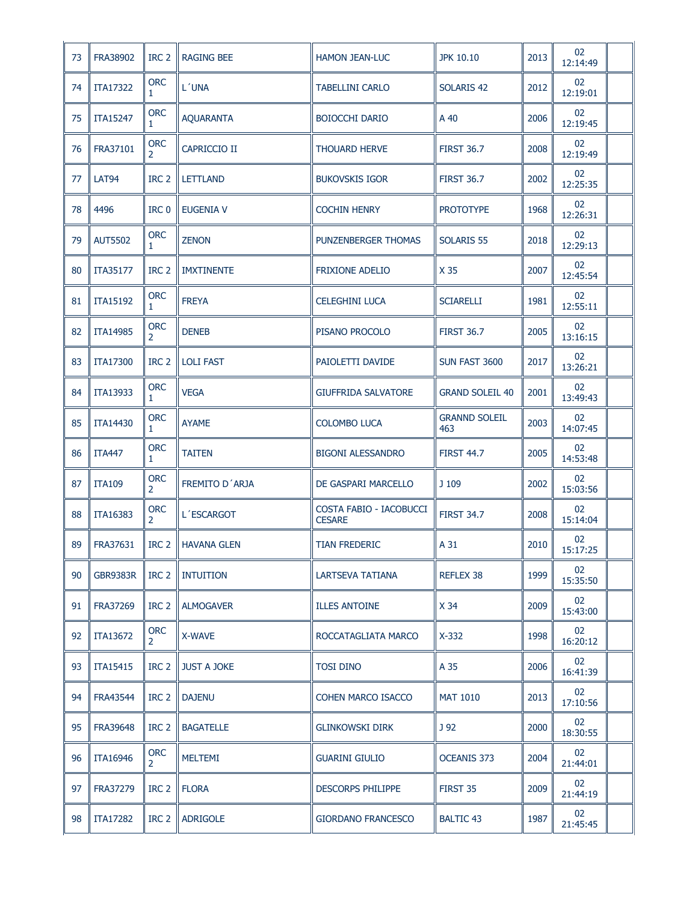| 73 | FRA38902          | IRC <sub>2</sub>             | <b>RAGING BEE</b>   | <b>HAMON JEAN-LUC</b>                    | <b>JPK 10.10</b>            | 2013 | 02<br>12:14:49 |  |
|----|-------------------|------------------------------|---------------------|------------------------------------------|-----------------------------|------|----------------|--|
| 74 | <b>ITA17322</b>   | <b>ORC</b><br>1.             | L'UNA               | <b>TABELLINI CARLO</b>                   | SOLARIS <sub>42</sub>       | 2012 | 02<br>12:19:01 |  |
| 75 | <b>ITA15247</b>   | <b>ORC</b><br>1.             | <b>AQUARANTA</b>    | <b>BOIOCCHI DARIO</b>                    | A 40                        | 2006 | 02<br>12:19:45 |  |
| 76 | FRA37101          | <b>ORC</b><br>$\mathcal{P}$  | <b>CAPRICCIO II</b> | <b>THOUARD HERVE</b>                     | <b>FIRST 36.7</b>           | 2008 | 02<br>12:19:49 |  |
| 77 | LAT <sub>94</sub> | IRC <sub>2</sub>             | <b>LETTLAND</b>     | <b>BUKOVSKIS IGOR</b>                    | <b>FIRST 36.7</b>           | 2002 | 02<br>12:25:35 |  |
| 78 | 4496              | IRC <sub>0</sub>             | <b>EUGENIA V</b>    | <b>COCHIN HENRY</b>                      | <b>PROTOTYPE</b>            | 1968 | 02<br>12:26:31 |  |
| 79 | <b>AUT5502</b>    | <b>ORC</b><br>1              | <b>ZENON</b>        | PUNZENBERGER THOMAS                      | <b>SOLARIS 55</b>           | 2018 | 02<br>12:29:13 |  |
| 80 | ITA35177          | IRC <sub>2</sub>             | <b>IMXTINENTE</b>   | <b>FRIXIONE ADELIO</b>                   | X 35                        | 2007 | 02<br>12:45:54 |  |
| 81 | <b>ITA15192</b>   | <b>ORC</b><br>1.             | <b>FREYA</b>        | <b>CELEGHINI LUCA</b>                    | <b>SCIARELLI</b>            | 1981 | 02<br>12:55:11 |  |
| 82 | <b>ITA14985</b>   | <b>ORC</b><br>2              | <b>DENEB</b>        | PISANO PROCOLO                           | <b>FIRST 36.7</b>           | 2005 | 02<br>13:16:15 |  |
| 83 | <b>ITA17300</b>   | IRC <sub>2</sub>             | <b>LOLI FAST</b>    | PAIOLETTI DAVIDE                         | SUN FAST 3600               | 2017 | 02<br>13:26:21 |  |
| 84 | ITA13933          | <b>ORC</b><br>1              | <b>VEGA</b>         | <b>GIUFFRIDA SALVATORE</b>               | <b>GRAND SOLEIL 40</b>      | 2001 | 02<br>13:49:43 |  |
| 85 | <b>ITA14430</b>   | <b>ORC</b><br>1.             | <b>AYAME</b>        | <b>COLOMBO LUCA</b>                      | <b>GRANND SOLEIL</b><br>463 | 2003 | 02<br>14:07:45 |  |
| 86 | <b>ITA447</b>     | <b>ORC</b><br>1              | <b>TAITEN</b>       | <b>BIGONI ALESSANDRO</b>                 | <b>FIRST 44.7</b>           | 2005 | 02<br>14:53:48 |  |
| 87 | <b>ITA109</b>     | <b>ORC</b><br>$\mathcal{P}$  | FREMITO D'ARJA      | DE GASPARI MARCELLO                      | J 109                       | 2002 | 02<br>15:03:56 |  |
| 88 | ITA16383          | <b>ORC</b><br>$\overline{2}$ | L'ESCARGOT          | COSTA FABIO - IACOBUCCI<br><b>CESARE</b> | <b>FIRST 34.7</b>           | 2008 | 02<br>15:14:04 |  |
| 89 | FRA37631          | IRC <sub>2</sub>             | <b>HAVANA GLEN</b>  | <b>TIAN FREDERIC</b>                     | A 31                        | 2010 | 02<br>15:17:25 |  |
| 90 | <b>GBR9383R</b>   | IRC <sub>2</sub>             | <b>INTUITION</b>    | LARTSEVA TATIANA                         | <b>REFLEX 38</b>            | 1999 | 02<br>15:35:50 |  |
| 91 | FRA37269          | IRC <sub>2</sub>             | <b>ALMOGAVER</b>    | <b>ILLES ANTOINE</b>                     | X 34                        | 2009 | 02<br>15:43:00 |  |
| 92 | ITA13672          | ORC<br>$\overline{2}$        | X-WAVE              | ROCCATAGLIATA MARCO                      | $X-332$                     | 1998 | 02<br>16:20:12 |  |
| 93 | <b>ITA15415</b>   | IRC 2                        | <b>JUST A JOKE</b>  | <b>TOSI DINO</b>                         | A 35                        | 2006 | 02<br>16:41:39 |  |
| 94 | FRA43544          | IRC <sub>2</sub>             | <b>DAJENU</b>       | <b>COHEN MARCO ISACCO</b>                | <b>MAT 1010</b>             | 2013 | 02<br>17:10:56 |  |
| 95 | <b>FRA39648</b>   | IRC <sub>2</sub>             | <b>BAGATELLE</b>    | <b>GLINKOWSKI DIRK</b>                   | J 92                        | 2000 | 02<br>18:30:55 |  |
| 96 | <b>ITA16946</b>   | <b>ORC</b><br>$\mathcal{P}$  | <b>MELTEMI</b>      | <b>GUARINI GIULIO</b>                    | OCEANIS 373                 | 2004 | 02<br>21:44:01 |  |
| 97 | FRA37279          | IRC <sub>2</sub>             | <b>FLORA</b>        | <b>DESCORPS PHILIPPE</b>                 | FIRST 35                    | 2009 | 02<br>21:44:19 |  |
| 98 | <b>ITA17282</b>   | IRC <sub>2</sub>             | <b>ADRIGOLE</b>     | GIORDANO FRANCESCO                       | <b>BALTIC 43</b>            | 1987 | 02<br>21:45:45 |  |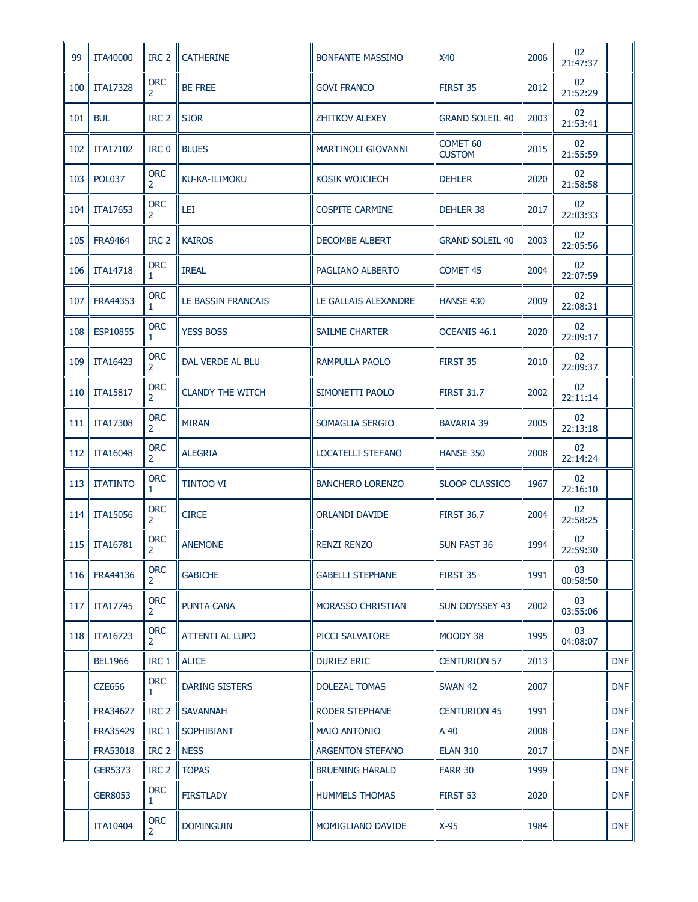| 99  | <b>ITA40000</b> | IRC <sub>2</sub>             | <b>CATHERINE</b>        | <b>BONFANTE MASSIMO</b>   | X40                                  | 2006 | 02<br>21:47:37 |            |
|-----|-----------------|------------------------------|-------------------------|---------------------------|--------------------------------------|------|----------------|------------|
| 100 | <b>ITA17328</b> | <b>ORC</b><br>2.             | <b>BE FREE</b>          | <b>GOVI FRANCO</b>        | FIRST 35                             | 2012 | 02<br>21:52:29 |            |
| 101 | <b>BUL</b>      | IRC <sub>2</sub>             | <b>SJOR</b>             | <b>ZHITKOV ALEXEY</b>     | <b>GRAND SOLEIL 40</b>               | 2003 | 02<br>21:53:41 |            |
| 102 | <b>ITA17102</b> | IRC 0                        | <b>BLUES</b>            | <b>MARTINOLI GIOVANNI</b> | COMET <sub>60</sub><br><b>CUSTOM</b> | 2015 | 02<br>21:55:59 |            |
| 103 | POL037          | <b>ORC</b><br>2              | KU-KA-ILIMOKU           | KOSIK WOJCIECH            | <b>DEHLER</b>                        | 2020 | 02<br>21:58:58 |            |
| 104 | <b>ITA17653</b> | <b>ORC</b><br>2              | LEI                     | <b>COSPITE CARMINE</b>    | DEHLER 38                            | 2017 | 02<br>22:03:33 |            |
| 105 | <b>FRA9464</b>  | IRC <sub>2</sub>             | <b>KAIROS</b>           | <b>DECOMBE ALBERT</b>     | <b>GRAND SOLEIL 40</b>               | 2003 | 02<br>22:05:56 |            |
| 106 | <b>ITA14718</b> | <b>ORC</b><br>1.             | <b>IREAL</b>            | PAGLIANO ALBERTO          | COMET <sub>45</sub>                  | 2004 | 02<br>22:07:59 |            |
| 107 | <b>FRA44353</b> | <b>ORC</b><br>1.             | LE BASSIN FRANCAIS      | LE GALLAIS ALEXANDRE      | HANSE 430                            | 2009 | 02<br>22:08:31 |            |
| 108 | ESP10855        | <b>ORC</b><br>1.             | <b>YESS BOSS</b>        | SAILME CHARTER            | OCEANIS 46.1                         | 2020 | 02<br>22:09:17 |            |
| 109 | <b>ITA16423</b> | <b>ORC</b><br>2              | DAL VERDE AL BLU        | RAMPULLA PAOLO            | FIRST 35                             | 2010 | 02<br>22:09:37 |            |
| 110 | <b>ITA15817</b> | <b>ORC</b><br>2              | <b>CLANDY THE WITCH</b> | SIMONETTI PAOLO           | <b>FIRST 31.7</b>                    | 2002 | 02<br>22:11:14 |            |
| 111 | <b>ITA17308</b> | <b>ORC</b><br>2.             | <b>MIRAN</b>            | SOMAGLIA SERGIO           | <b>BAVARIA 39</b>                    | 2005 | 02<br>22:13:18 |            |
| 112 | <b>ITA16048</b> | <b>ORC</b><br>2.             | <b>ALEGRIA</b>          | LOCATELLI STEFANO         | HANSE 350                            | 2008 | 02<br>22:14:24 |            |
| 113 | <b>ITATINTO</b> | <b>ORC</b><br>1              | TINTOO VI               | <b>BANCHERO LORENZO</b>   | <b>SLOOP CLASSICO</b>                | 1967 | 02<br>22:16:10 |            |
| 114 | <b>ITA15056</b> | <b>ORC</b><br>2.             | <b>CIRCE</b>            | <b>ORLANDI DAVIDE</b>     | <b>FIRST 36.7</b>                    | 2004 | 02<br>22:58:25 |            |
|     | 115   ITA16781  | <b>ORC</b>                   | <b>ANEMONE</b>          | <b>RENZI RENZO</b>        | <b>SUN FAST 36</b>                   | 1994 | 02<br>22:59:30 |            |
| 116 | FRA44136        | <b>ORC</b><br>2.             | <b>GABICHE</b>          | <b>GABELLI STEPHANE</b>   | FIRST 35                             | 1991 | 03<br>00:58:50 |            |
| 117 | <b>ITA17745</b> | <b>ORC</b><br>$\overline{2}$ | PUNTA CANA              | <b>MORASSO CHRISTIAN</b>  | SUN ODYSSEY 43                       | 2002 | 03<br>03:55:06 |            |
| 118 | ITA16723        | <b>ORC</b><br>2.             | ATTENTI AL LUPO         | PICCI SALVATORE           | MOODY 38                             | 1995 | 03<br>04:08:07 |            |
|     | <b>BEL1966</b>  | IRC 1                        | <b>ALICE</b>            | <b>DURIEZ ERIC</b>        | <b>CENTURION 57</b>                  | 2013 |                | <b>DNF</b> |
|     | <b>CZE656</b>   | <b>ORC</b><br>1.             | <b>DARING SISTERS</b>   | <b>DOLEZAL TOMAS</b>      | SWAN 42                              | 2007 |                | <b>DNF</b> |
|     | <b>FRA34627</b> | IRC 2                        | <b>SAVANNAH</b>         | RODER STEPHANE            | <b>CENTURION 45</b>                  | 1991 |                | <b>DNF</b> |
|     | <b>FRA35429</b> | IRC 1                        | <b>SOPHIBIANT</b>       | <b>MAIO ANTONIO</b>       | A 40                                 | 2008 |                | <b>DNF</b> |
|     | FRA53018        | IRC <sub>2</sub>             | <b>NESS</b>             | ARGENTON STEFANO          | <b>ELAN 310</b>                      | 2017 |                | <b>DNF</b> |
|     | <b>GER5373</b>  | IRC <sub>2</sub>             | <b>TOPAS</b>            | <b>BRUENING HARALD</b>    | FARR 30                              | 1999 |                | <b>DNF</b> |
|     | GER8053         | <b>ORC</b><br>1.             | <b>FIRSTLADY</b>        | <b>HUMMELS THOMAS</b>     | FIRST 53                             | 2020 |                | <b>DNF</b> |
|     | <b>ITA10404</b> | <b>ORC</b><br>2              | <b>DOMINGUIN</b>        | MOMIGLIANO DAVIDE         | $X-95$                               | 1984 |                | <b>DNF</b> |